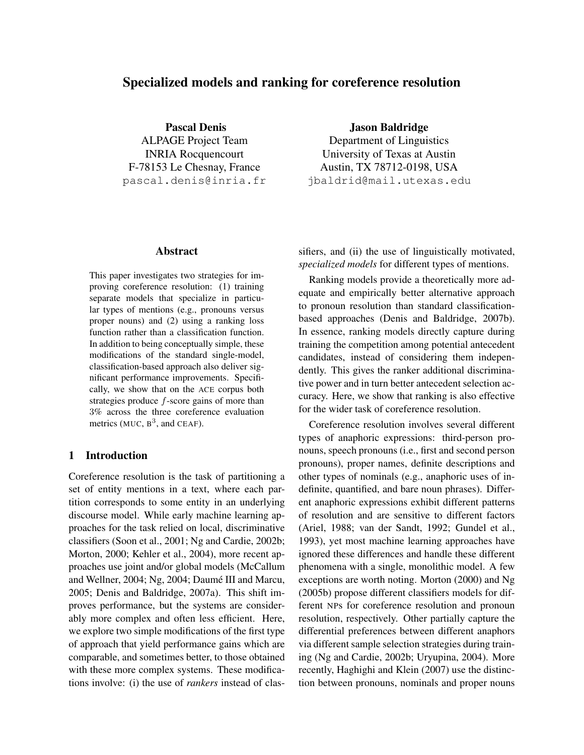# Specialized models and ranking for coreference resolution

Pascal Denis ALPAGE Project Team INRIA Rocquencourt F-78153 Le Chesnay, France pascal.denis@inria.fr

### Abstract

This paper investigates two strategies for improving coreference resolution: (1) training separate models that specialize in particular types of mentions (e.g., pronouns versus proper nouns) and (2) using a ranking loss function rather than a classification function. In addition to being conceptually simple, these modifications of the standard single-model, classification-based approach also deliver significant performance improvements. Specifically, we show that on the ACE corpus both strategies produce  $f$ -score gains of more than 3% across the three coreference evaluation metrics (MUC,  $B^3$ , and CEAF).

## 1 Introduction

Coreference resolution is the task of partitioning a set of entity mentions in a text, where each partition corresponds to some entity in an underlying discourse model. While early machine learning approaches for the task relied on local, discriminative classifiers (Soon et al., 2001; Ng and Cardie, 2002b; Morton, 2000; Kehler et al., 2004), more recent approaches use joint and/or global models (McCallum and Wellner, 2004; Ng, 2004; Daumé III and Marcu, 2005; Denis and Baldridge, 2007a). This shift improves performance, but the systems are considerably more complex and often less efficient. Here, we explore two simple modifications of the first type of approach that yield performance gains which are comparable, and sometimes better, to those obtained with these more complex systems. These modifications involve: (i) the use of *rankers* instead of clasJason Baldridge

Department of Linguistics University of Texas at Austin Austin, TX 78712-0198, USA jbaldrid@mail.utexas.edu

sifiers, and (ii) the use of linguistically motivated, *specialized models* for different types of mentions.

Ranking models provide a theoretically more adequate and empirically better alternative approach to pronoun resolution than standard classificationbased approaches (Denis and Baldridge, 2007b). In essence, ranking models directly capture during training the competition among potential antecedent candidates, instead of considering them independently. This gives the ranker additional discriminative power and in turn better antecedent selection accuracy. Here, we show that ranking is also effective for the wider task of coreference resolution.

Coreference resolution involves several different types of anaphoric expressions: third-person pronouns, speech pronouns (i.e., first and second person pronouns), proper names, definite descriptions and other types of nominals (e.g., anaphoric uses of indefinite, quantified, and bare noun phrases). Different anaphoric expressions exhibit different patterns of resolution and are sensitive to different factors (Ariel, 1988; van der Sandt, 1992; Gundel et al., 1993), yet most machine learning approaches have ignored these differences and handle these different phenomena with a single, monolithic model. A few exceptions are worth noting. Morton (2000) and Ng (2005b) propose different classifiers models for different NPs for coreference resolution and pronoun resolution, respectively. Other partially capture the differential preferences between different anaphors via different sample selection strategies during training (Ng and Cardie, 2002b; Uryupina, 2004). More recently, Haghighi and Klein (2007) use the distinction between pronouns, nominals and proper nouns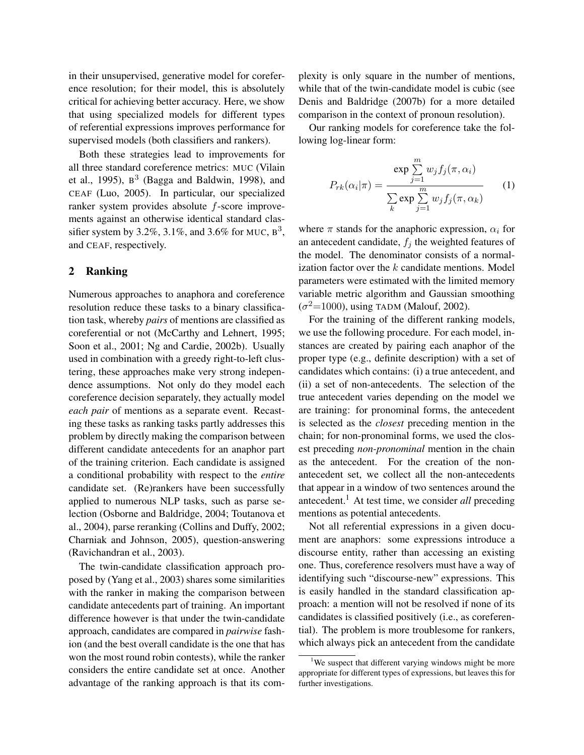in their unsupervised, generative model for coreference resolution; for their model, this is absolutely critical for achieving better accuracy. Here, we show that using specialized models for different types of referential expressions improves performance for supervised models (both classifiers and rankers).

Both these strategies lead to improvements for all three standard coreference metrics: MUC (Vilain et al., 1995),  $B^3$  (Bagga and Baldwin, 1998), and CEAF (Luo, 2005). In particular, our specialized ranker system provides absolute f-score improvements against an otherwise identical standard classifier system by 3.2%, 3.1%, and 3.6% for MUC,  $B^3$ , and CEAF, respectively.

#### 2 Ranking

Numerous approaches to anaphora and coreference resolution reduce these tasks to a binary classification task, whereby *pairs* of mentions are classified as coreferential or not (McCarthy and Lehnert, 1995; Soon et al., 2001; Ng and Cardie, 2002b). Usually used in combination with a greedy right-to-left clustering, these approaches make very strong independence assumptions. Not only do they model each coreference decision separately, they actually model *each pair* of mentions as a separate event. Recasting these tasks as ranking tasks partly addresses this problem by directly making the comparison between different candidate antecedents for an anaphor part of the training criterion. Each candidate is assigned a conditional probability with respect to the *entire* candidate set. (Re)rankers have been successfully applied to numerous NLP tasks, such as parse selection (Osborne and Baldridge, 2004; Toutanova et al., 2004), parse reranking (Collins and Duffy, 2002; Charniak and Johnson, 2005), question-answering (Ravichandran et al., 2003).

The twin-candidate classification approach proposed by (Yang et al., 2003) shares some similarities with the ranker in making the comparison between candidate antecedents part of training. An important difference however is that under the twin-candidate approach, candidates are compared in *pairwise* fashion (and the best overall candidate is the one that has won the most round robin contests), while the ranker considers the entire candidate set at once. Another advantage of the ranking approach is that its complexity is only square in the number of mentions, while that of the twin-candidate model is cubic (see Denis and Baldridge (2007b) for a more detailed comparison in the context of pronoun resolution).

Our ranking models for coreference take the following log-linear form:

$$
P_{rk}(\alpha_i|\pi) = \frac{\exp\sum_{j=1}^m w_j f_j(\pi, \alpha_i)}{\sum_k \exp\sum_{j=1}^m w_j f_j(\pi, \alpha_k)}
$$
(1)

where  $\pi$  stands for the anaphoric expression,  $\alpha_i$  for an antecedent candidate,  $f_j$  the weighted features of the model. The denominator consists of a normalization factor over the  $k$  candidate mentions. Model parameters were estimated with the limited memory variable metric algorithm and Gaussian smoothing  $(\sigma^2=1000)$ , using TADM (Malouf, 2002).

For the training of the different ranking models, we use the following procedure. For each model, instances are created by pairing each anaphor of the proper type (e.g., definite description) with a set of candidates which contains: (i) a true antecedent, and (ii) a set of non-antecedents. The selection of the true antecedent varies depending on the model we are training: for pronominal forms, the antecedent is selected as the *closest* preceding mention in the chain; for non-pronominal forms, we used the closest preceding *non-pronominal* mention in the chain as the antecedent. For the creation of the nonantecedent set, we collect all the non-antecedents that appear in a window of two sentences around the antecedent.<sup>1</sup> At test time, we consider *all* preceding mentions as potential antecedents.

Not all referential expressions in a given document are anaphors: some expressions introduce a discourse entity, rather than accessing an existing one. Thus, coreference resolvers must have a way of identifying such "discourse-new" expressions. This is easily handled in the standard classification approach: a mention will not be resolved if none of its candidates is classified positively (i.e., as coreferential). The problem is more troublesome for rankers, which always pick an antecedent from the candidate

<sup>&</sup>lt;sup>1</sup>We suspect that different varying windows might be more appropriate for different types of expressions, but leaves this for further investigations.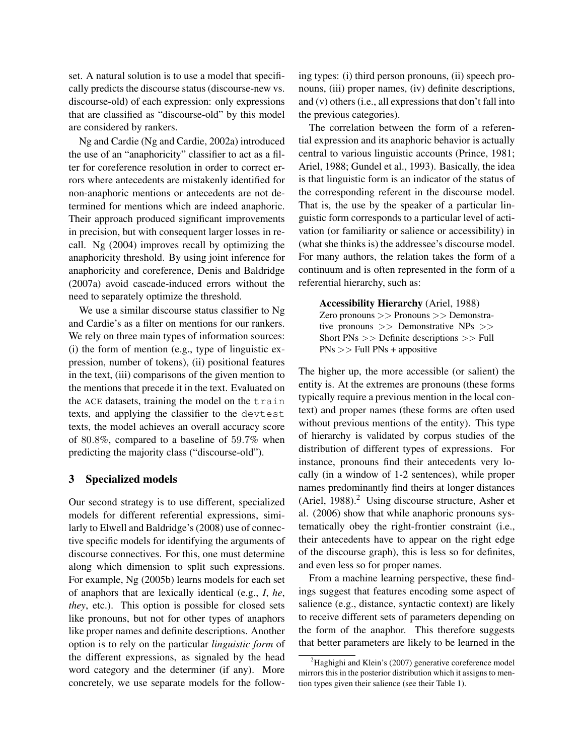set. A natural solution is to use a model that specifically predicts the discourse status (discourse-new vs. discourse-old) of each expression: only expressions that are classified as "discourse-old" by this model are considered by rankers.

Ng and Cardie (Ng and Cardie, 2002a) introduced the use of an "anaphoricity" classifier to act as a filter for coreference resolution in order to correct errors where antecedents are mistakenly identified for non-anaphoric mentions or antecedents are not determined for mentions which are indeed anaphoric. Their approach produced significant improvements in precision, but with consequent larger losses in recall. Ng (2004) improves recall by optimizing the anaphoricity threshold. By using joint inference for anaphoricity and coreference, Denis and Baldridge (2007a) avoid cascade-induced errors without the need to separately optimize the threshold.

We use a similar discourse status classifier to Ng and Cardie's as a filter on mentions for our rankers. We rely on three main types of information sources: (i) the form of mention (e.g., type of linguistic expression, number of tokens), (ii) positional features in the text, (iii) comparisons of the given mention to the mentions that precede it in the text. Evaluated on the ACE datasets, training the model on the train texts, and applying the classifier to the devtest texts, the model achieves an overall accuracy score of 80.8%, compared to a baseline of 59.7% when predicting the majority class ("discourse-old").

#### 3 Specialized models

Our second strategy is to use different, specialized models for different referential expressions, similarly to Elwell and Baldridge's (2008) use of connective specific models for identifying the arguments of discourse connectives. For this, one must determine along which dimension to split such expressions. For example, Ng (2005b) learns models for each set of anaphors that are lexically identical (e.g., *I*, *he*, *they*, etc.). This option is possible for closed sets like pronouns, but not for other types of anaphors like proper names and definite descriptions. Another option is to rely on the particular *linguistic form* of the different expressions, as signaled by the head word category and the determiner (if any). More concretely, we use separate models for the following types: (i) third person pronouns, (ii) speech pronouns, (iii) proper names, (iv) definite descriptions, and (v) others (i.e., all expressions that don't fall into the previous categories).

The correlation between the form of a referential expression and its anaphoric behavior is actually central to various linguistic accounts (Prince, 1981; Ariel, 1988; Gundel et al., 1993). Basically, the idea is that linguistic form is an indicator of the status of the corresponding referent in the discourse model. That is, the use by the speaker of a particular linguistic form corresponds to a particular level of activation (or familiarity or salience or accessibility) in (what she thinks is) the addressee's discourse model. For many authors, the relation takes the form of a continuum and is often represented in the form of a referential hierarchy, such as:

Accessibility Hierarchy (Ariel, 1988) Zero pronouns >> Pronouns >> Demonstrative pronouns >> Demonstrative NPs >> Short PNs >> Definite descriptions >> Full  $PNs \gg Full PNs + appositive$ 

The higher up, the more accessible (or salient) the entity is. At the extremes are pronouns (these forms typically require a previous mention in the local context) and proper names (these forms are often used without previous mentions of the entity). This type of hierarchy is validated by corpus studies of the distribution of different types of expressions. For instance, pronouns find their antecedents very locally (in a window of 1-2 sentences), while proper names predominantly find theirs at longer distances (Ariel, 1988). $<sup>2</sup>$  Using discourse structure, Asher et</sup> al. (2006) show that while anaphoric pronouns systematically obey the right-frontier constraint (i.e., their antecedents have to appear on the right edge of the discourse graph), this is less so for definites, and even less so for proper names.

From a machine learning perspective, these findings suggest that features encoding some aspect of salience (e.g., distance, syntactic context) are likely to receive different sets of parameters depending on the form of the anaphor. This therefore suggests that better parameters are likely to be learned in the

 ${}^{2}$ Haghighi and Klein's (2007) generative coreference model mirrors this in the posterior distribution which it assigns to mention types given their salience (see their Table 1).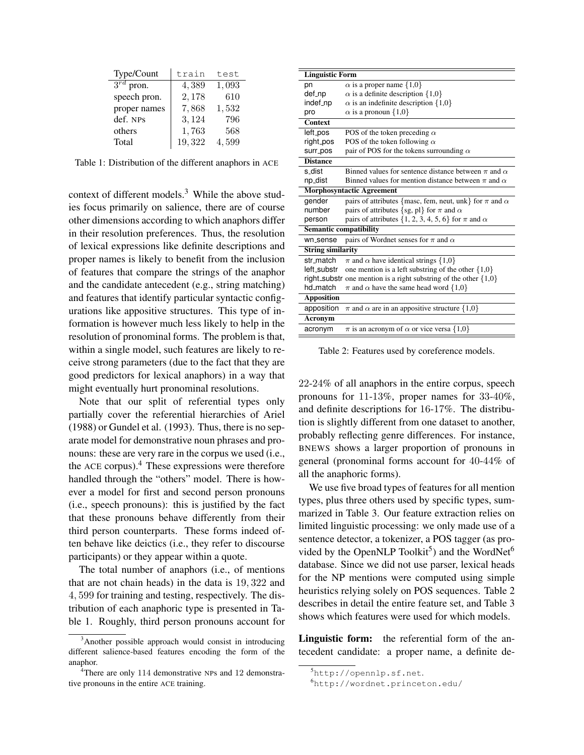| Type/Count                | train  | test  |
|---------------------------|--------|-------|
| $\overline{3^{rd}}$ pron. | 4,389  | 1,093 |
| speech pron.              | 2,178  | 610   |
| proper names              | 7,868  | 1,532 |
| def. NPs                  | 3,124  | 796   |
| others                    | 1,763  | 568   |
| Total                     | 19,322 | 4.599 |

Table 1: Distribution of the different anaphors in ACE

context of different models.<sup>3</sup> While the above studies focus primarily on salience, there are of course other dimensions according to which anaphors differ in their resolution preferences. Thus, the resolution of lexical expressions like definite descriptions and proper names is likely to benefit from the inclusion of features that compare the strings of the anaphor and the candidate antecedent (e.g., string matching) and features that identify particular syntactic configurations like appositive structures. This type of information is however much less likely to help in the resolution of pronominal forms. The problem is that, within a single model, such features are likely to receive strong parameters (due to the fact that they are good predictors for lexical anaphors) in a way that might eventually hurt pronominal resolutions.

Note that our split of referential types only partially cover the referential hierarchies of Ariel (1988) or Gundel et al. (1993). Thus, there is no separate model for demonstrative noun phrases and pronouns: these are very rare in the corpus we used (i.e., the ACE corpus). $4$  These expressions were therefore handled through the "others" model. There is however a model for first and second person pronouns (i.e., speech pronouns): this is justified by the fact that these pronouns behave differently from their third person counterparts. These forms indeed often behave like deictics (i.e., they refer to discourse participants) or they appear within a quote.

The total number of anaphors (i.e., of mentions that are not chain heads) in the data is 19, 322 and 4, 599 for training and testing, respectively. The distribution of each anaphoric type is presented in Table 1. Roughly, third person pronouns account for

| <b>Linguistic Form</b>        |                                                                      |
|-------------------------------|----------------------------------------------------------------------|
| pn                            | $\alpha$ is a proper name $\{1,0\}$                                  |
| def_np                        | $\alpha$ is a definite description $\{1,0\}$                         |
| indef_np                      | $\alpha$ is an indefinite description $\{1,0\}$                      |
| pro                           | $\alpha$ is a pronoun $\{1,0\}$                                      |
| Context                       |                                                                      |
| left_pos                      | POS of the token preceding $\alpha$                                  |
| right_pos                     | POS of the token following $\alpha$                                  |
| surr_pos                      | pair of POS for the tokens surrounding $\alpha$                      |
| <b>Distance</b>               |                                                                      |
| s_dist                        | Binned values for sentence distance between $\pi$ and $\alpha$       |
| np_dist                       | Binned values for mention distance between $\pi$ and $\alpha$        |
|                               | <b>Morphosyntactic Agreement</b>                                     |
| gender                        | pairs of attributes {masc, fem, neut, unk} for $\pi$ and $\alpha$    |
| number                        | pairs of attributes {sg, pl} for $\pi$ and $\alpha$                  |
| person                        | pairs of attributes {1, 2, 3, 4, 5, 6} for $\pi$ and $\alpha$        |
| <b>Semantic compatibility</b> |                                                                      |
| wn_sense                      | pairs of Wordnet senses for $\pi$ and $\alpha$                       |
| <b>String similarity</b>      |                                                                      |
| str match                     | $\pi$ and $\alpha$ have identical strings {1,0}                      |
| left_substr                   | one mention is a left substring of the other $\{1,0\}$               |
|                               | right_substr one mention is a right substring of the other $\{1,0\}$ |
| hd match                      | $\pi$ and $\alpha$ have the same head word {1,0}                     |
| <b>Apposition</b>             |                                                                      |
| apposition                    | $\pi$ and $\alpha$ are in an appositive structure {1,0}              |
| Acronym                       |                                                                      |
| acronym                       | $\pi$ is an acronym of $\alpha$ or vice versa {1,0}                  |
|                               |                                                                      |

Table 2: Features used by coreference models.

22-24% of all anaphors in the entire corpus, speech pronouns for 11-13%, proper names for 33-40%, and definite descriptions for 16-17%. The distribution is slightly different from one dataset to another, probably reflecting genre differences. For instance, BNEWS shows a larger proportion of pronouns in general (pronominal forms account for 40-44% of all the anaphoric forms).

We use five broad types of features for all mention types, plus three others used by specific types, summarized in Table 3. Our feature extraction relies on limited linguistic processing: we only made use of a sentence detector, a tokenizer, a POS tagger (as provided by the OpenNLP Toolkit<sup>5</sup>) and the WordNet<sup>6</sup> database. Since we did not use parser, lexical heads for the NP mentions were computed using simple heuristics relying solely on POS sequences. Table 2 describes in detail the entire feature set, and Table 3 shows which features were used for which models.

Linguistic form: the referential form of the antecedent candidate: a proper name, a definite de-

 $3$ Another possible approach would consist in introducing different salience-based features encoding the form of the anaphor.

<sup>&</sup>lt;sup>4</sup>There are only 114 demonstrative NPs and 12 demonstrative pronouns in the entire ACE training.

<sup>5</sup>http://opennlp.sf.net.

<sup>6</sup>http://wordnet.princeton.edu/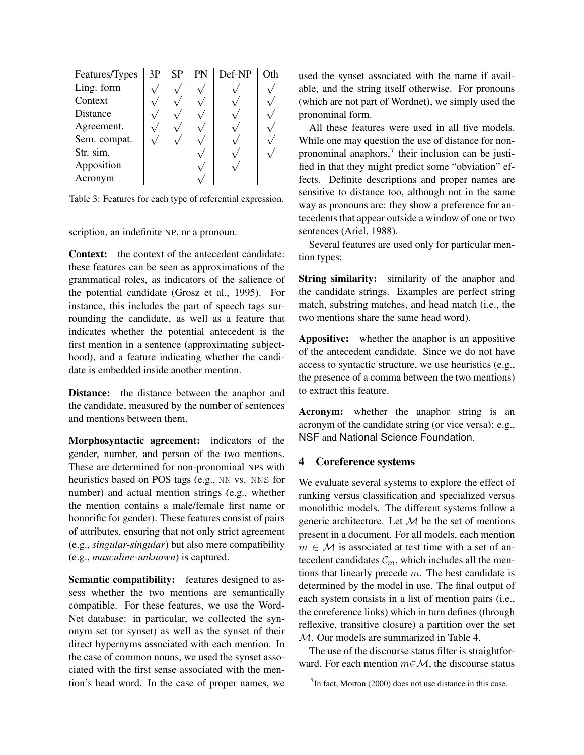| Features/Types | 3P | <b>SP</b> | PN | Def-NP |  |
|----------------|----|-----------|----|--------|--|
| Ling. form     |    |           |    |        |  |
| Context        |    |           |    |        |  |
| Distance       |    |           |    |        |  |
| Agreement.     |    |           |    |        |  |
| Sem. compat.   |    |           |    |        |  |
| Str. sim.      |    |           |    |        |  |
| Apposition     |    |           |    |        |  |
| Acronym        |    |           |    |        |  |

Table 3: Features for each type of referential expression.

scription, an indefinite NP, or a pronoun.

Context: the context of the antecedent candidate: these features can be seen as approximations of the grammatical roles, as indicators of the salience of the potential candidate (Grosz et al., 1995). For instance, this includes the part of speech tags surrounding the candidate, as well as a feature that indicates whether the potential antecedent is the first mention in a sentence (approximating subjecthood), and a feature indicating whether the candidate is embedded inside another mention.

Distance: the distance between the anaphor and the candidate, measured by the number of sentences and mentions between them.

Morphosyntactic agreement: indicators of the gender, number, and person of the two mentions. These are determined for non-pronominal NPs with heuristics based on POS tags (e.g., NN vs. NNS for number) and actual mention strings (e.g., whether the mention contains a male/female first name or honorific for gender). These features consist of pairs of attributes, ensuring that not only strict agreement (e.g., *singular-singular*) but also mere compatibility (e.g., *masculine-unknown*) is captured.

Semantic compatibility: features designed to assess whether the two mentions are semantically compatible. For these features, we use the Word-Net database: in particular, we collected the synonym set (or synset) as well as the synset of their direct hypernyms associated with each mention. In the case of common nouns, we used the synset associated with the first sense associated with the mention's head word. In the case of proper names, we used the synset associated with the name if available, and the string itself otherwise. For pronouns (which are not part of Wordnet), we simply used the pronominal form.

All these features were used in all five models. While one may question the use of distance for nonpronominal anaphors, $7$  their inclusion can be justified in that they might predict some "obviation" effects. Definite descriptions and proper names are sensitive to distance too, although not in the same way as pronouns are: they show a preference for antecedents that appear outside a window of one or two sentences (Ariel, 1988).

Several features are used only for particular mention types:

String similarity: similarity of the anaphor and the candidate strings. Examples are perfect string match, substring matches, and head match (i.e., the two mentions share the same head word).

Appositive: whether the anaphor is an appositive of the antecedent candidate. Since we do not have access to syntactic structure, we use heuristics (e.g., the presence of a comma between the two mentions) to extract this feature.

Acronym: whether the anaphor string is an acronym of the candidate string (or vice versa): e.g., NSF and National Science Foundation.

## 4 Coreference systems

We evaluate several systems to explore the effect of ranking versus classification and specialized versus monolithic models. The different systems follow a generic architecture. Let  $M$  be the set of mentions present in a document. For all models, each mention  $m \in \mathcal{M}$  is associated at test time with a set of antecedent candidates  $\mathcal{C}_m$ , which includes all the mentions that linearly precede  $m$ . The best candidate is determined by the model in use. The final output of each system consists in a list of mention pairs (i.e., the coreference links) which in turn defines (through reflexive, transitive closure) a partition over the set M. Our models are summarized in Table 4.

The use of the discourse status filter is straightforward. For each mention  $m \in \mathcal{M}$ , the discourse status

 $7$ In fact, Morton (2000) does not use distance in this case.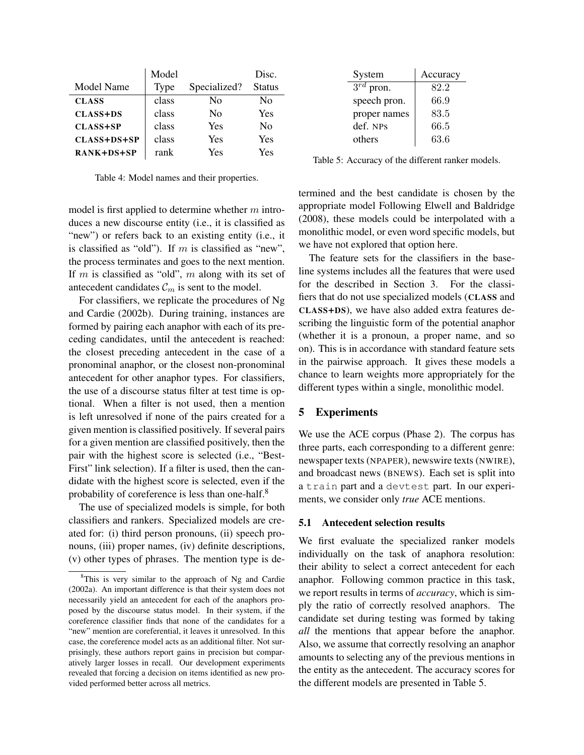|                 | Model |              | Disc.         |
|-----------------|-------|--------------|---------------|
| Model Name      | Type  | Specialized? | <b>Status</b> |
| <b>CLASS</b>    | class | Nο           | No            |
| <b>CLASS+DS</b> | class | Nο           | Yes           |
| <b>CLASS+SP</b> | class | <b>Yes</b>   | No            |
| CLASS+DS+SP     | class | Yes          | Yes           |
| RANK+DS+SP      | rank  | Yes          | Yes           |

Table 4: Model names and their properties.

| System         | Accuracy |
|----------------|----------|
| $3^{rd}$ pron. | 82.2     |
| speech pron.   | 66.9     |
| proper names   | 83.5     |
| def. NPs       | 66.5     |
| others         | 63.6     |

Table 5: Accuracy of the different ranker models.

model is first applied to determine whether  $m$  introduces a new discourse entity (i.e., it is classified as "new") or refers back to an existing entity (i.e., it is classified as "old"). If  $m$  is classified as "new", the process terminates and goes to the next mention. If  $m$  is classified as "old",  $m$  along with its set of antecedent candidates  $\mathcal{C}_m$  is sent to the model.

For classifiers, we replicate the procedures of Ng and Cardie (2002b). During training, instances are formed by pairing each anaphor with each of its preceding candidates, until the antecedent is reached: the closest preceding antecedent in the case of a pronominal anaphor, or the closest non-pronominal antecedent for other anaphor types. For classifiers, the use of a discourse status filter at test time is optional. When a filter is not used, then a mention is left unresolved if none of the pairs created for a given mention is classified positively. If several pairs for a given mention are classified positively, then the pair with the highest score is selected (i.e., "Best-First" link selection). If a filter is used, then the candidate with the highest score is selected, even if the probability of coreference is less than one-half.<sup>8</sup>

The use of specialized models is simple, for both classifiers and rankers. Specialized models are created for: (i) third person pronouns, (ii) speech pronouns, (iii) proper names, (iv) definite descriptions, (v) other types of phrases. The mention type is determined and the best candidate is chosen by the appropriate model Following Elwell and Baldridge (2008), these models could be interpolated with a monolithic model, or even word specific models, but we have not explored that option here.

The feature sets for the classifiers in the baseline systems includes all the features that were used for the described in Section 3. For the classifiers that do not use specialized models (CLASS and CLASS+DS), we have also added extra features describing the linguistic form of the potential anaphor (whether it is a pronoun, a proper name, and so on). This is in accordance with standard feature sets in the pairwise approach. It gives these models a chance to learn weights more appropriately for the different types within a single, monolithic model.

## 5 Experiments

We use the ACE corpus (Phase 2). The corpus has three parts, each corresponding to a different genre: newspaper texts (NPAPER), newswire texts (NWIRE), and broadcast news (BNEWS). Each set is split into a train part and a devtest part. In our experiments, we consider only *true* ACE mentions.

### 5.1 Antecedent selection results

We first evaluate the specialized ranker models individually on the task of anaphora resolution: their ability to select a correct antecedent for each anaphor. Following common practice in this task, we report results in terms of *accuracy*, which is simply the ratio of correctly resolved anaphors. The candidate set during testing was formed by taking *all* the mentions that appear before the anaphor. Also, we assume that correctly resolving an anaphor amounts to selecting any of the previous mentions in the entity as the antecedent. The accuracy scores for the different models are presented in Table 5.

<sup>&</sup>lt;sup>8</sup>This is very similar to the approach of Ng and Cardie (2002a). An important difference is that their system does not necessarily yield an antecedent for each of the anaphors proposed by the discourse status model. In their system, if the coreference classifier finds that none of the candidates for a "new" mention are coreferential, it leaves it unresolved. In this case, the coreference model acts as an additional filter. Not surprisingly, these authors report gains in precision but comparatively larger losses in recall. Our development experiments revealed that forcing a decision on items identified as new provided performed better across all metrics.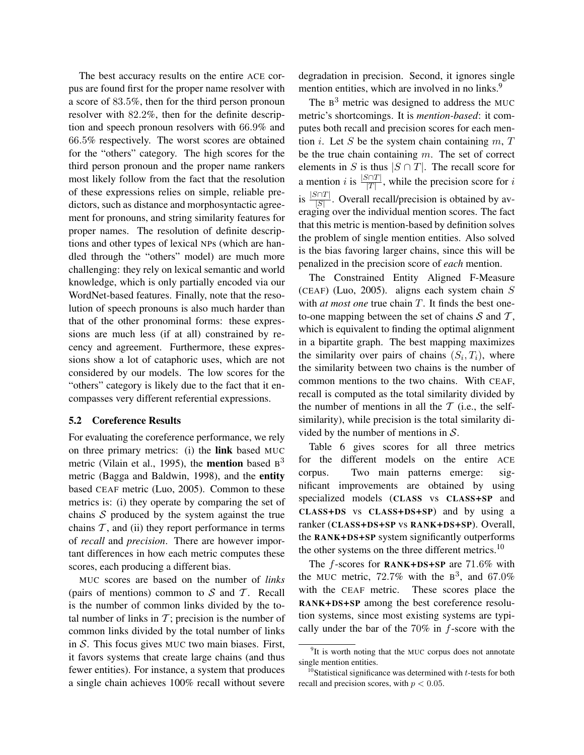The best accuracy results on the entire ACE corpus are found first for the proper name resolver with a score of 83.5%, then for the third person pronoun resolver with 82.2%, then for the definite description and speech pronoun resolvers with 66.9% and 66.5% respectively. The worst scores are obtained for the "others" category. The high scores for the third person pronoun and the proper name rankers most likely follow from the fact that the resolution of these expressions relies on simple, reliable predictors, such as distance and morphosyntactic agreement for pronouns, and string similarity features for proper names. The resolution of definite descriptions and other types of lexical NPs (which are handled through the "others" model) are much more challenging: they rely on lexical semantic and world knowledge, which is only partially encoded via our WordNet-based features. Finally, note that the resolution of speech pronouns is also much harder than that of the other pronominal forms: these expressions are much less (if at all) constrained by recency and agreement. Furthermore, these expressions show a lot of cataphoric uses, which are not considered by our models. The low scores for the "others" category is likely due to the fact that it encompasses very different referential expressions.

#### 5.2 Coreference Results

For evaluating the coreference performance, we rely on three primary metrics: (i) the link based MUC metric (Vilain et al., 1995), the **mention** based  $B<sup>3</sup>$ metric (Bagga and Baldwin, 1998), and the entity based CEAF metric (Luo, 2005). Common to these metrics is: (i) they operate by comparing the set of chains  $S$  produced by the system against the true chains  $T$ , and (ii) they report performance in terms of *recall* and *precision*. There are however important differences in how each metric computes these scores, each producing a different bias.

MUC scores are based on the number of *links* (pairs of mentions) common to  $S$  and  $T$ . Recall is the number of common links divided by the total number of links in  $T$ ; precision is the number of common links divided by the total number of links in  $S$ . This focus gives MUC two main biases. First, it favors systems that create large chains (and thus fewer entities). For instance, a system that produces a single chain achieves 100% recall without severe degradation in precision. Second, it ignores single mention entities, which are involved in no links.<sup>9</sup>

The  $B<sup>3</sup>$  metric was designed to address the MUC metric's shortcomings. It is *mention-based*: it computes both recall and precision scores for each mention *i*. Let *S* be the system chain containing  $m, T$ be the true chain containing  $m$ . The set of correct elements in S is thus  $|S \cap T|$ . The recall score for a mention *i* is  $\frac{|S \cap T|}{|T|}$ , while the precision score for *i* is  $\frac{|S \cap T|}{|S|}$ . Overall recall/precision is obtained by averaging over the individual mention scores. The fact that this metric is mention-based by definition solves the problem of single mention entities. Also solved is the bias favoring larger chains, since this will be penalized in the precision score of *each* mention.

The Constrained Entity Aligned F-Measure (CEAF) (Luo, 2005). aligns each system chain  $S$ with *at most one* true chain T. It finds the best oneto-one mapping between the set of chains  $S$  and  $T$ , which is equivalent to finding the optimal alignment in a bipartite graph. The best mapping maximizes the similarity over pairs of chains  $(S_i, T_i)$ , where the similarity between two chains is the number of common mentions to the two chains. With CEAF, recall is computed as the total similarity divided by the number of mentions in all the  $T$  (i.e., the selfsimilarity), while precision is the total similarity divided by the number of mentions in  $S$ .

Table 6 gives scores for all three metrics for the different models on the entire ACE corpus. Two main patterns emerge: significant improvements are obtained by using specialized models (CLASS vs CLASS+SP and CLASS+DS vs CLASS+DS+SP) and by using a ranker (CLASS+DS+SP vs RANK+DS+SP). Overall, the RANK+DS+SP system significantly outperforms the other systems on the three different metrics.<sup>10</sup>

The  $f$ -scores for RANK+DS+SP are 71.6% with the MUC metric, 72.7% with the  $B^3$ , and 67.0% with the CEAF metric. These scores place the RANK+DS+SP among the best coreference resolution systems, since most existing systems are typically under the bar of the  $70\%$  in  $f$ -score with the

<sup>&</sup>lt;sup>9</sup>It is worth noting that the MUC corpus does not annotate single mention entities.

<sup>&</sup>lt;sup>10</sup>Statistical significance was determined with  $t$ -tests for both recall and precision scores, with  $p < 0.05$ .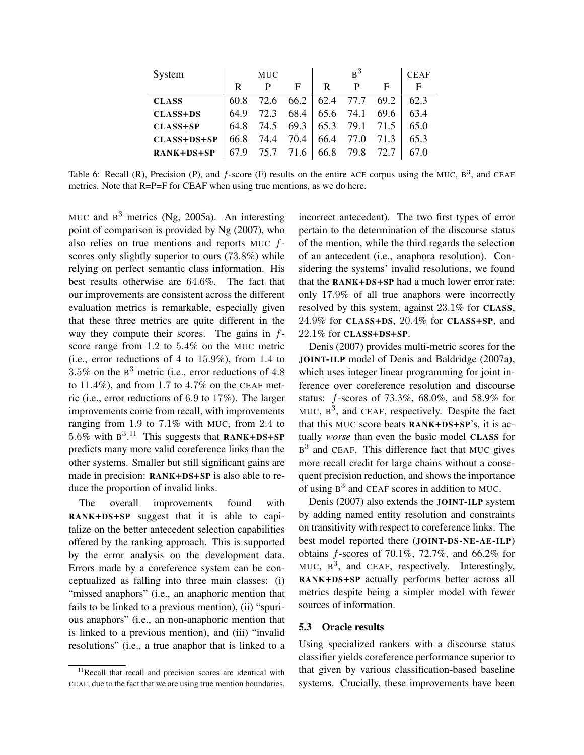| System          | <b>MUC</b> |      |      |           | <b>CEAF</b> |      |      |
|-----------------|------------|------|------|-----------|-------------|------|------|
|                 | R          | P    | F    | R         | P           | F    | F    |
| <b>CLASS</b>    | 60.8       | 72.6 | 66.2 | 62.4 77.7 |             | 69.2 | 62.3 |
| <b>CLASS+DS</b> | 64.9       | 72.3 | 68.4 | 65.6      | 74.1        | 69.6 | 63.4 |
| <b>CLASS+SP</b> | 64.8       | 74.5 | 69.3 | 65.3      | 79.1        | 71.5 | 65.0 |
| CLASS+DS+SP     | 66.8       | 74.4 | 70.4 | 66.4      | 77.0        | 71.3 | 65.3 |
| RANK+DS+SP      | 67.9       | 75.7 | 71.6 | 66.8      | 79.8        | 72.7 | 67.0 |

Table 6: Recall (R), Precision (P), and  $f$ -score (F) results on the entire ACE corpus using the MUC,  $B^3$ , and CEAF metrics. Note that R=P=F for CEAF when using true mentions, as we do here.

MUC and  $B^3$  metrics (Ng, 2005a). An interesting point of comparison is provided by Ng (2007), who also relies on true mentions and reports MUC fscores only slightly superior to ours (73.8%) while relying on perfect semantic class information. His best results otherwise are 64.6%. The fact that our improvements are consistent across the different evaluation metrics is remarkable, especially given that these three metrics are quite different in the way they compute their scores. The gains in  $f$ score range from 1.2 to 5.4% on the MUC metric (i.e., error reductions of 4 to 15.9%), from 1.4 to 3.5% on the  $B<sup>3</sup>$  metric (i.e., error reductions of 4.8) to  $11.4\%$ ), and from 1.7 to  $4.7\%$  on the CEAF metric (i.e., error reductions of 6.9 to 17%). The larger improvements come from recall, with improvements ranging from 1.9 to 7.1% with MUC, from 2.4 to 5.6% with  $B^{3.11}$  This suggests that RANK+DS+SP predicts many more valid coreference links than the other systems. Smaller but still significant gains are made in precision: RANK+DS+SP is also able to reduce the proportion of invalid links.

The overall improvements found with RANK+DS+SP suggest that it is able to capitalize on the better antecedent selection capabilities offered by the ranking approach. This is supported by the error analysis on the development data. Errors made by a coreference system can be conceptualized as falling into three main classes: (i) "missed anaphors" (i.e., an anaphoric mention that fails to be linked to a previous mention), (ii) "spurious anaphors" (i.e., an non-anaphoric mention that is linked to a previous mention), and (iii) "invalid resolutions" (i.e., a true anaphor that is linked to a

incorrect antecedent). The two first types of error pertain to the determination of the discourse status of the mention, while the third regards the selection of an antecedent (i.e., anaphora resolution). Considering the systems' invalid resolutions, we found that the RANK+DS+SP had a much lower error rate: only 17.9% of all true anaphors were incorrectly resolved by this system, against 23.1% for CLASS, 24.9% for CLASS+DS, 20.4% for CLASS+SP, and 22.1% for CLASS+DS+SP.

Denis (2007) provides multi-metric scores for the JOINT-ILP model of Denis and Baldridge (2007a), which uses integer linear programming for joint inference over coreference resolution and discourse status: f-scores of 73.3%, 68.0%, and 58.9% for MUC,  $B^3$ , and CEAF, respectively. Despite the fact that this MUC score beats RANK+DS+SP's, it is actually *worse* than even the basic model CLASS for  $B<sup>3</sup>$  and CEAF. This difference fact that MUC gives more recall credit for large chains without a consequent precision reduction, and shows the importance of using  $B^3$  and CEAF scores in addition to MUC.

Denis (2007) also extends the JOINT-ILP system by adding named entity resolution and constraints on transitivity with respect to coreference links. The best model reported there (JOINT-DS-NE-AE-ILP) obtains  $f$ -scores of 70.1%, 72.7%, and 66.2% for MUC,  $B^3$ , and CEAF, respectively. Interestingly, RANK+DS+SP actually performs better across all metrics despite being a simpler model with fewer sources of information.

#### 5.3 Oracle results

Using specialized rankers with a discourse status classifier yields coreference performance superior to that given by various classification-based baseline systems. Crucially, these improvements have been

<sup>&</sup>lt;sup>11</sup>Recall that recall and precision scores are identical with CEAF, due to the fact that we are using true mention boundaries.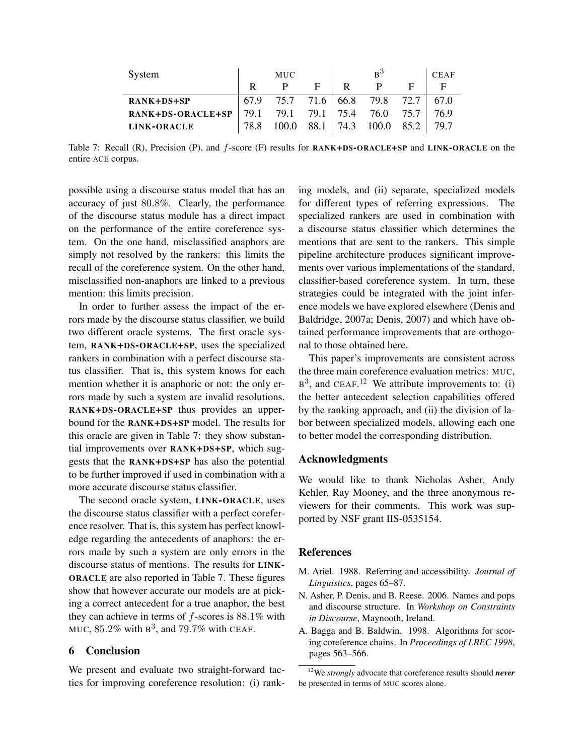| System             |      | <b>MUC</b> |             |       | $R^3$ |      | <b>CEAF</b> |
|--------------------|------|------------|-------------|-------|-------|------|-------------|
|                    |      |            | E           | R     |       |      |             |
| RANK+DS+SP         | 67.9 | 75.7       | 71.6   66.8 |       | 79.8  | 72.7 | 67.0        |
| RANK+DS-ORACLE+SP  | 79.1 | 79.1       | 79.1        | 175.4 | 76.0  | 75.7 | 76.9        |
| <b>LINK-ORACLE</b> | 78.8 | 100 O      | 88.1        | 74.3  | 100.0 | 85.2 | 797         |

Table 7: Recall (R), Precision (P), and f-score (F) results for RANK+DS-ORACLE+SP and LINK-ORACLE on the entire ACE corpus.

possible using a discourse status model that has an accuracy of just 80.8%. Clearly, the performance of the discourse status module has a direct impact on the performance of the entire coreference system. On the one hand, misclassified anaphors are simply not resolved by the rankers: this limits the recall of the coreference system. On the other hand, misclassified non-anaphors are linked to a previous mention: this limits precision.

In order to further assess the impact of the errors made by the discourse status classifier, we build two different oracle systems. The first oracle system, RANK+DS-ORACLE+SP, uses the specialized rankers in combination with a perfect discourse status classifier. That is, this system knows for each mention whether it is anaphoric or not: the only errors made by such a system are invalid resolutions. RANK+DS-ORACLE+SP thus provides an upperbound for the RANK+DS+SP model. The results for this oracle are given in Table 7: they show substantial improvements over RANK+DS+SP, which suggests that the RANK+DS+SP has also the potential to be further improved if used in combination with a more accurate discourse status classifier.

The second oracle system, LINK-ORACLE, uses the discourse status classifier with a perfect coreference resolver. That is, this system has perfect knowledge regarding the antecedents of anaphors: the errors made by such a system are only errors in the discourse status of mentions. The results for LINK-ORACLE are also reported in Table 7. These figures show that however accurate our models are at picking a correct antecedent for a true anaphor, the best they can achieve in terms of  $f$ -scores is  $88.1\%$  with MUC,  $85.2\%$  with  $B^3$ , and  $79.7\%$  with CEAF.

## 6 Conclusion

We present and evaluate two straight-forward tactics for improving coreference resolution: (i) ranking models, and (ii) separate, specialized models for different types of referring expressions. The specialized rankers are used in combination with a discourse status classifier which determines the mentions that are sent to the rankers. This simple pipeline architecture produces significant improvements over various implementations of the standard, classifier-based coreference system. In turn, these strategies could be integrated with the joint inference models we have explored elsewhere (Denis and Baldridge, 2007a; Denis, 2007) and which have obtained performance improvements that are orthogonal to those obtained here.

This paper's improvements are consistent across the three main coreference evaluation metrics: MUC,  $B<sup>3</sup>$ , and CEAF.<sup>12</sup> We attribute improvements to: (i) the better antecedent selection capabilities offered by the ranking approach, and (ii) the division of labor between specialized models, allowing each one to better model the corresponding distribution.

## Acknowledgments

We would like to thank Nicholas Asher, Andy Kehler, Ray Mooney, and the three anonymous reviewers for their comments. This work was supported by NSF grant IIS-0535154.

#### References

- M. Ariel. 1988. Referring and accessibility. *Journal of Linguistics*, pages 65–87.
- N. Asher, P. Denis, and B. Reese. 2006. Names and pops and discourse structure. In *Workshop on Constraints in Discourse*, Maynooth, Ireland.
- A. Bagga and B. Baldwin. 1998. Algorithms for scoring coreference chains. In *Proceedings of LREC 1998*, pages 563–566.

<sup>12</sup>We *strongly* advocate that coreference results should *never* be presented in terms of MUC scores alone.